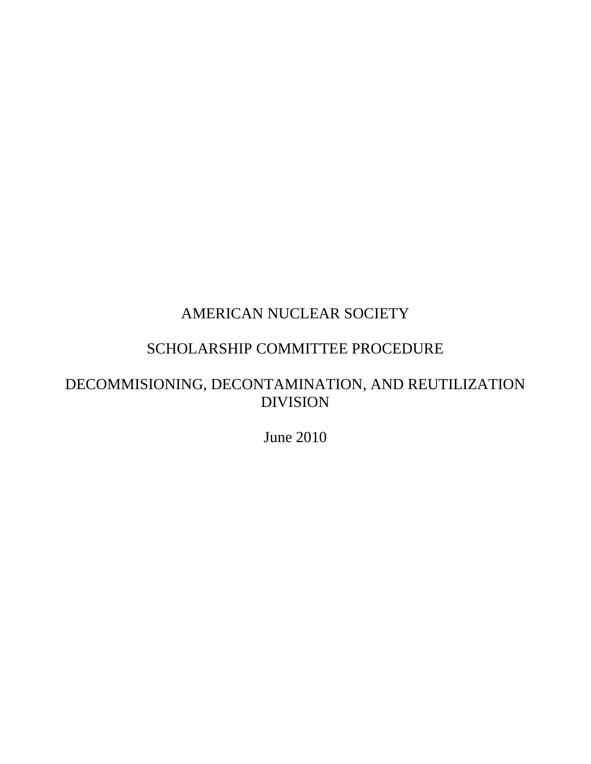# AMERICAN NUCLEAR SOCIETY

### SCHOLARSHIP COMMITTEE PROCEDURE

## DECOMMISIONING, DECONTAMINATION, AND REUTILIZATION DIVISION

June 2010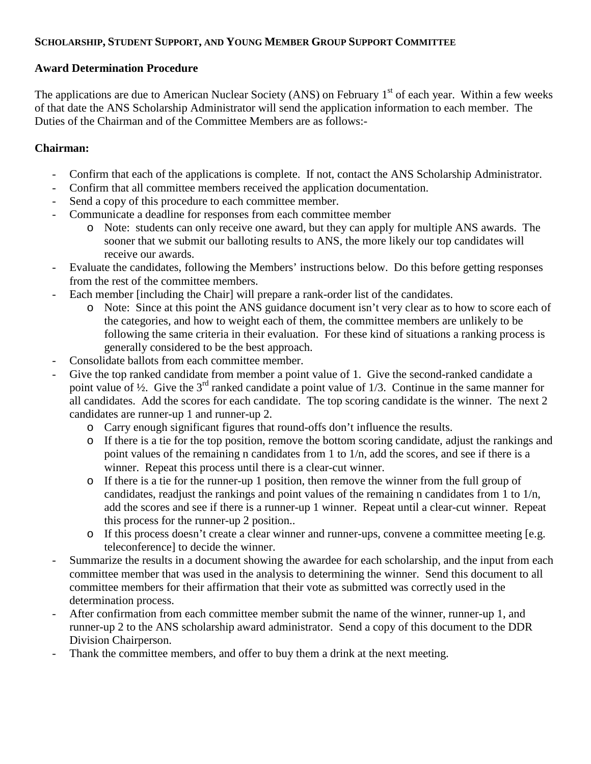#### **SCHOLARSHIP, STUDENT SUPPORT, AND YOUNG MEMBER GROUP SUPPORT COMMITTEE**

#### **Award Determination Procedure**

The applications are due to American Nuclear Society (ANS) on February 1<sup>st</sup> of each year. Within a few weeks of that date the ANS Scholarship Administrator will send the application information to each member. The Duties of the Chairman and of the Committee Members are as follows:-

#### **Chairman:**

- Confirm that each of the applications is complete. If not, contact the ANS Scholarship Administrator.
- Confirm that all committee members received the application documentation.
- Send a copy of this procedure to each committee member.
- Communicate a deadline for responses from each committee member
	- o Note: students can only receive one award, but they can apply for multiple ANS awards. The sooner that we submit our balloting results to ANS, the more likely our top candidates will receive our awards.
- Evaluate the candidates, following the Members' instructions below. Do this before getting responses from the rest of the committee members.
- Each member [including the Chair] will prepare a rank-order list of the candidates.
	- o Note: Since at this point the ANS guidance document isn't very clear as to how to score each of the categories, and how to weight each of them, the committee members are unlikely to be following the same criteria in their evaluation. For these kind of situations a ranking process is generally considered to be the best approach.
- Consolidate ballots from each committee member.
- Give the top ranked candidate from member a point value of 1. Give the second-ranked candidate a point value of  $\frac{1}{2}$ . Give the 3<sup>rd</sup> ranked candidate a point value of 1/3. Continue in the same manner for all candidates. Add the scores for each candidate. The top scoring candidate is the winner. The next 2 candidates are runner-up 1 and runner-up 2.
	- o Carry enough significant figures that round-offs don't influence the results.
	- o If there is a tie for the top position, remove the bottom scoring candidate, adjust the rankings and point values of the remaining n candidates from 1 to 1/n, add the scores, and see if there is a winner. Repeat this process until there is a clear-cut winner.
	- o If there is a tie for the runner-up 1 position, then remove the winner from the full group of candidates, readjust the rankings and point values of the remaining n candidates from 1 to 1/n, add the scores and see if there is a runner-up 1 winner. Repeat until a clear-cut winner. Repeat this process for the runner-up 2 position..
	- o If this process doesn't create a clear winner and runner-ups, convene a committee meeting [e.g. teleconference] to decide the winner.
- Summarize the results in a document showing the awardee for each scholarship, and the input from each committee member that was used in the analysis to determining the winner. Send this document to all committee members for their affirmation that their vote as submitted was correctly used in the determination process.
- After confirmation from each committee member submit the name of the winner, runner-up 1, and runner-up 2 to the ANS scholarship award administrator. Send a copy of this document to the DDR Division Chairperson.
- Thank the committee members, and offer to buy them a drink at the next meeting.